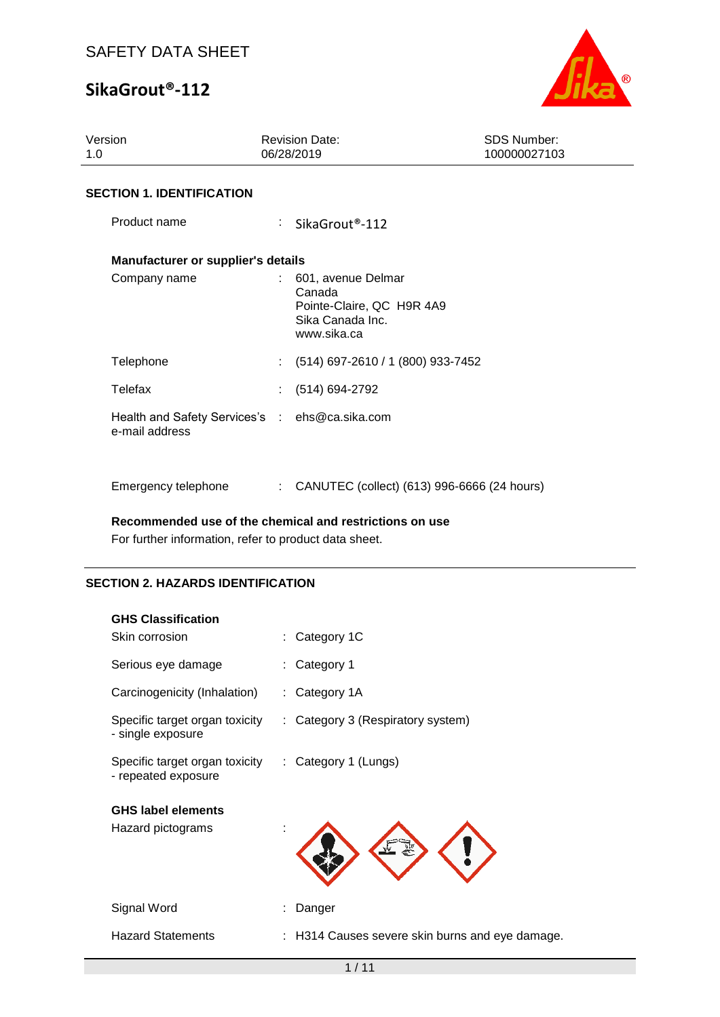

| Version<br>1.0                                                   |                            | <b>Revision Date:</b><br>06/28/2019                                                          | <b>SDS Number:</b><br>100000027103 |
|------------------------------------------------------------------|----------------------------|----------------------------------------------------------------------------------------------|------------------------------------|
| <b>SECTION 1. IDENTIFICATION</b>                                 |                            |                                                                                              |                                    |
| Product name                                                     | $\mathcal{L}^{\text{max}}$ | SikaGrout <sup>®</sup> -112                                                                  |                                    |
| Manufacturer or supplier's details                               |                            |                                                                                              |                                    |
| Company name                                                     | ÷.                         | 601, avenue Delmar<br>Canada<br>Pointe-Claire, QC H9R 4A9<br>Sika Canada Inc.<br>www.sika.ca |                                    |
| Telephone                                                        |                            | $(514)$ 697-2610 / 1 (800) 933-7452                                                          |                                    |
| Telefax                                                          |                            | (514) 694-2792                                                                               |                                    |
| Health and Safety Services's : ehs@ca.sika.com<br>e-mail address |                            |                                                                                              |                                    |
| Emergency telephone                                              | ÷.                         | CANUTEC (collect) (613) 996-6666 (24 hours)                                                  |                                    |

**Recommended use of the chemical and restrictions on use**

For further information, refer to product data sheet.

# **SECTION 2. HAZARDS IDENTIFICATION**

| <b>GHS Classification</b>                             |                                               |
|-------------------------------------------------------|-----------------------------------------------|
| Skin corrosion                                        | Category 1C                                   |
| Serious eye damage                                    | Category 1                                    |
| Carcinogenicity (Inhalation)                          | Category 1A<br>÷                              |
| Specific target organ toxicity<br>- single exposure   | : Category 3 (Respiratory system)             |
| Specific target organ toxicity<br>- repeated exposure | : Category 1 (Lungs)                          |
| <b>GHS label elements</b>                             |                                               |
| Hazard pictograms                                     |                                               |
| Signal Word                                           | Danger                                        |
| <b>Hazard Statements</b>                              | H314 Causes severe skin burns and eye damage. |
|                                                       |                                               |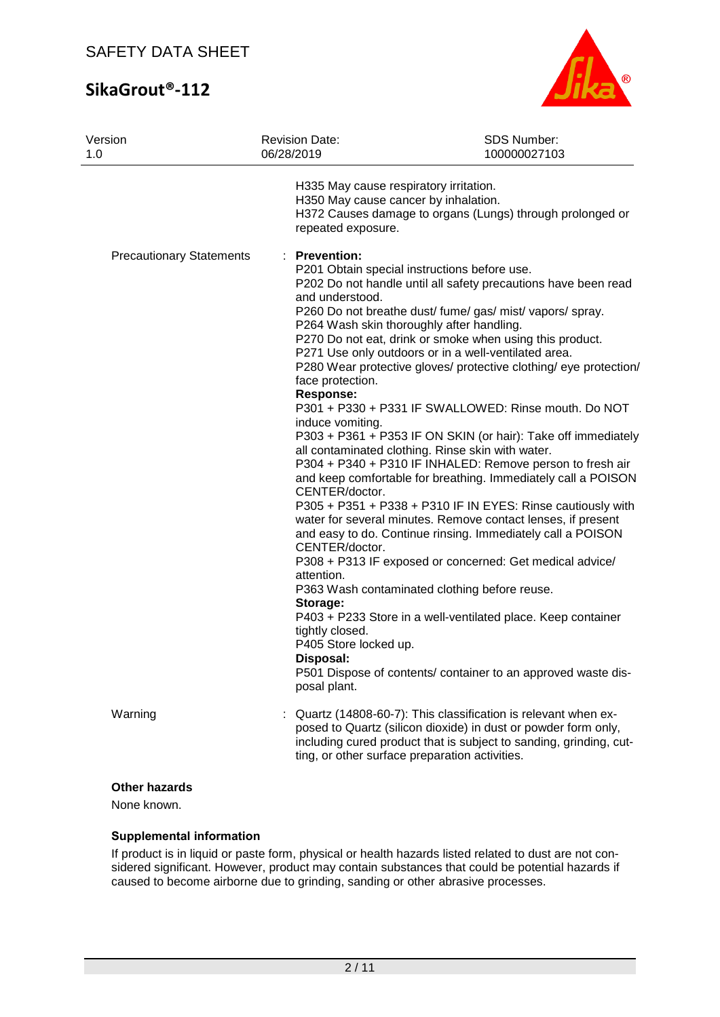

|                                 | <b>Revision Date:</b><br>06/28/2019                                                                                                                                                                                                 | SDS Number:<br>100000027103                                                                                                                                                                                                                                                                                                                                                                                                                                                                                                                                                                                                                                                                                                                                                                                                                                                                                                                                                                                                                                                                                                                                               |
|---------------------------------|-------------------------------------------------------------------------------------------------------------------------------------------------------------------------------------------------------------------------------------|---------------------------------------------------------------------------------------------------------------------------------------------------------------------------------------------------------------------------------------------------------------------------------------------------------------------------------------------------------------------------------------------------------------------------------------------------------------------------------------------------------------------------------------------------------------------------------------------------------------------------------------------------------------------------------------------------------------------------------------------------------------------------------------------------------------------------------------------------------------------------------------------------------------------------------------------------------------------------------------------------------------------------------------------------------------------------------------------------------------------------------------------------------------------------|
|                                 | H335 May cause respiratory irritation.<br>H350 May cause cancer by inhalation.<br>repeated exposure.                                                                                                                                | H372 Causes damage to organs (Lungs) through prolonged or                                                                                                                                                                                                                                                                                                                                                                                                                                                                                                                                                                                                                                                                                                                                                                                                                                                                                                                                                                                                                                                                                                                 |
| <b>Precautionary Statements</b> | : Prevention:<br>and understood.<br>face protection.<br><b>Response:</b><br>induce vomiting.<br>CENTER/doctor.<br>CENTER/doctor.<br>attention.<br>Storage:<br>tightly closed.<br>P405 Store locked up.<br>Disposal:<br>posal plant. | P201 Obtain special instructions before use.<br>P202 Do not handle until all safety precautions have been read<br>P260 Do not breathe dust/ fume/ gas/ mist/ vapors/ spray.<br>P264 Wash skin thoroughly after handling.<br>P270 Do not eat, drink or smoke when using this product.<br>P271 Use only outdoors or in a well-ventilated area.<br>P280 Wear protective gloves/ protective clothing/ eye protection/<br>P301 + P330 + P331 IF SWALLOWED: Rinse mouth. Do NOT<br>P303 + P361 + P353 IF ON SKIN (or hair): Take off immediately<br>all contaminated clothing. Rinse skin with water.<br>P304 + P340 + P310 IF INHALED: Remove person to fresh air<br>and keep comfortable for breathing. Immediately call a POISON<br>P305 + P351 + P338 + P310 IF IN EYES: Rinse cautiously with<br>water for several minutes. Remove contact lenses, if present<br>and easy to do. Continue rinsing. Immediately call a POISON<br>P308 + P313 IF exposed or concerned: Get medical advice/<br>P363 Wash contaminated clothing before reuse.<br>P403 + P233 Store in a well-ventilated place. Keep container<br>P501 Dispose of contents/ container to an approved waste dis- |
| Warning                         |                                                                                                                                                                                                                                     | : Quartz (14808-60-7): This classification is relevant when ex-<br>posed to Quartz (silicon dioxide) in dust or powder form only,<br>including cured product that is subject to sanding, grinding, cut-<br>ting, or other surface preparation activities.                                                                                                                                                                                                                                                                                                                                                                                                                                                                                                                                                                                                                                                                                                                                                                                                                                                                                                                 |

## **Supplemental information**

If product is in liquid or paste form, physical or health hazards listed related to dust are not considered significant. However, product may contain substances that could be potential hazards if caused to become airborne due to grinding, sanding or other abrasive processes.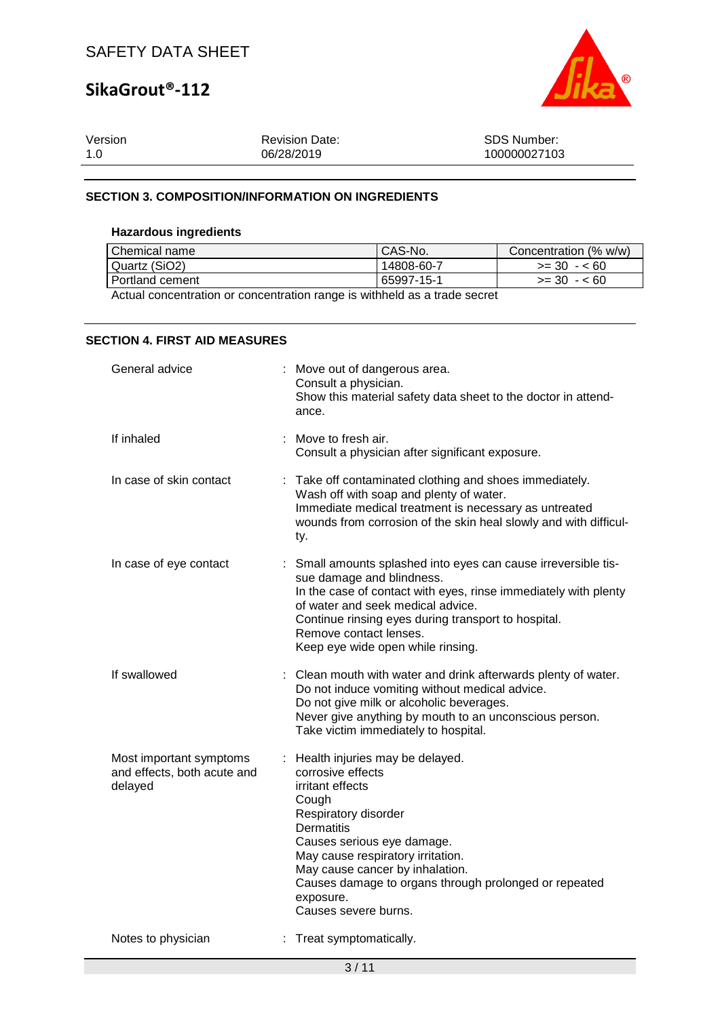

| Version | <b>Revision Date:</b> | <b>SDS Number:</b> |
|---------|-----------------------|--------------------|
| 1.0     | 06/28/2019            | 100000027103       |

# **SECTION 3. COMPOSITION/INFORMATION ON INGREDIENTS**

## **Hazardous ingredients**

| <b>Chemical name</b>                                                      | CAS-No.    | Concentration (% w/w) |
|---------------------------------------------------------------------------|------------|-----------------------|
| Quartz (SiO2)                                                             | 14808-60-7 | $>= 30 - 60$          |
| Portland cement                                                           | 65997-15-1 | $>= 30 - 60$          |
| Actual concentration or concentration range is withhold as a trade secret |            |                       |

Actual concentration or concentration range is withheld as a trade secret

## **SECTION 4. FIRST AID MEASURES**

| General advice                                                    | : Move out of dangerous area.<br>Consult a physician.<br>Show this material safety data sheet to the doctor in attend-<br>ance.                                                                                                                                                                                                      |
|-------------------------------------------------------------------|--------------------------------------------------------------------------------------------------------------------------------------------------------------------------------------------------------------------------------------------------------------------------------------------------------------------------------------|
| If inhaled                                                        | Move to fresh air.<br>Consult a physician after significant exposure.                                                                                                                                                                                                                                                                |
| In case of skin contact                                           | Take off contaminated clothing and shoes immediately.<br>Wash off with soap and plenty of water.<br>Immediate medical treatment is necessary as untreated<br>wounds from corrosion of the skin heal slowly and with difficul-<br>ty.                                                                                                 |
| In case of eye contact                                            | : Small amounts splashed into eyes can cause irreversible tis-<br>sue damage and blindness.<br>In the case of contact with eyes, rinse immediately with plenty<br>of water and seek medical advice.<br>Continue rinsing eyes during transport to hospital.<br>Remove contact lenses.<br>Keep eye wide open while rinsing.            |
| If swallowed                                                      | : Clean mouth with water and drink afterwards plenty of water.<br>Do not induce vomiting without medical advice.<br>Do not give milk or alcoholic beverages.<br>Never give anything by mouth to an unconscious person.<br>Take victim immediately to hospital.                                                                       |
| Most important symptoms<br>and effects, both acute and<br>delayed | : Health injuries may be delayed.<br>corrosive effects<br>irritant effects<br>Cough<br>Respiratory disorder<br><b>Dermatitis</b><br>Causes serious eye damage.<br>May cause respiratory irritation.<br>May cause cancer by inhalation.<br>Causes damage to organs through prolonged or repeated<br>exposure.<br>Causes severe burns. |
| Notes to physician                                                | : Treat symptomatically.                                                                                                                                                                                                                                                                                                             |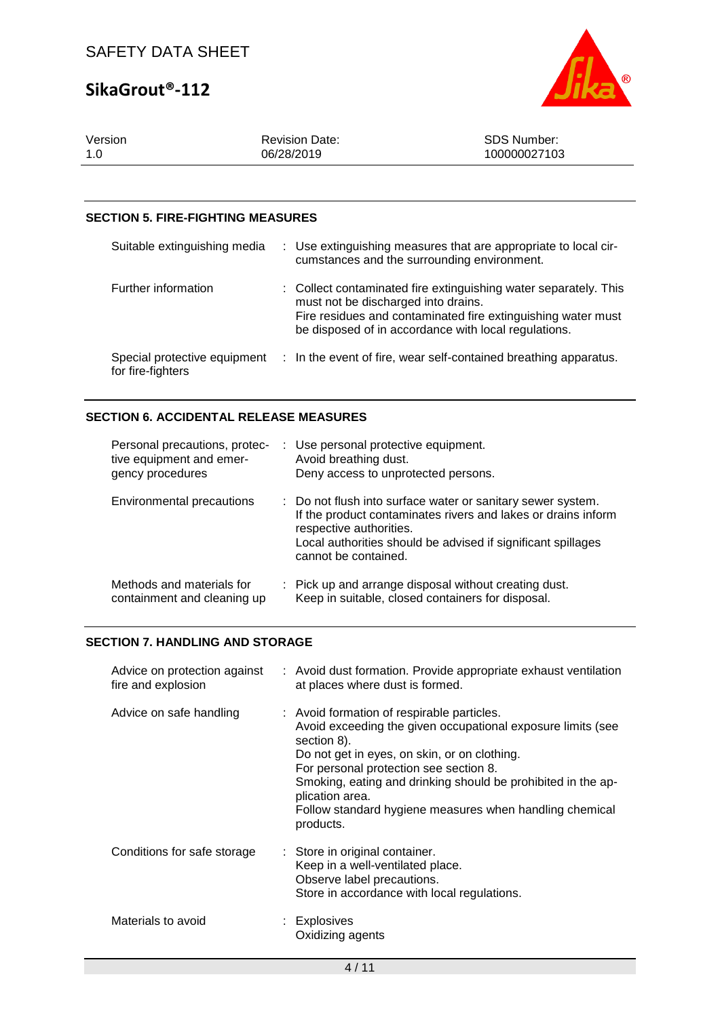

| 06/28/2019<br>1.0 | Version | <b>Revision Date:</b> | <b>SDS Number:</b> |
|-------------------|---------|-----------------------|--------------------|
|                   |         |                       | 100000027103       |

## **SECTION 5. FIRE-FIGHTING MEASURES**

| Suitable extinguishing media                      | : Use extinguishing measures that are appropriate to local cir-<br>cumstances and the surrounding environment.                                                                                                                  |
|---------------------------------------------------|---------------------------------------------------------------------------------------------------------------------------------------------------------------------------------------------------------------------------------|
| Further information                               | : Collect contaminated fire extinguishing water separately. This<br>must not be discharged into drains.<br>Fire residues and contaminated fire extinguishing water must<br>be disposed of in accordance with local regulations. |
| Special protective equipment<br>for fire-fighters | : In the event of fire, wear self-contained breathing apparatus.                                                                                                                                                                |

### **SECTION 6. ACCIDENTAL RELEASE MEASURES**

| Personal precautions, protec-<br>tive equipment and emer-<br>gency procedures | : Use personal protective equipment.<br>Avoid breathing dust.<br>Deny access to unprotected persons.                                                                                                                                            |
|-------------------------------------------------------------------------------|-------------------------------------------------------------------------------------------------------------------------------------------------------------------------------------------------------------------------------------------------|
| Environmental precautions                                                     | : Do not flush into surface water or sanitary sewer system.<br>If the product contaminates rivers and lakes or drains inform<br>respective authorities.<br>Local authorities should be advised if significant spillages<br>cannot be contained. |
| Methods and materials for<br>containment and cleaning up                      | : Pick up and arrange disposal without creating dust.<br>Keep in suitable, closed containers for disposal.                                                                                                                                      |

## **SECTION 7. HANDLING AND STORAGE**

| Advice on protection against<br>fire and explosion | : Avoid dust formation. Provide appropriate exhaust ventilation<br>at places where dust is formed.                                                                                                                                                                                                                                                                            |
|----------------------------------------------------|-------------------------------------------------------------------------------------------------------------------------------------------------------------------------------------------------------------------------------------------------------------------------------------------------------------------------------------------------------------------------------|
| Advice on safe handling                            | : Avoid formation of respirable particles.<br>Avoid exceeding the given occupational exposure limits (see<br>section 8).<br>Do not get in eyes, on skin, or on clothing.<br>For personal protection see section 8.<br>Smoking, eating and drinking should be prohibited in the ap-<br>plication area.<br>Follow standard hygiene measures when handling chemical<br>products. |
| Conditions for safe storage                        | : Store in original container.<br>Keep in a well-ventilated place.<br>Observe label precautions.<br>Store in accordance with local regulations.                                                                                                                                                                                                                               |
| Materials to avoid                                 | $:$ Explosives<br>Oxidizing agents                                                                                                                                                                                                                                                                                                                                            |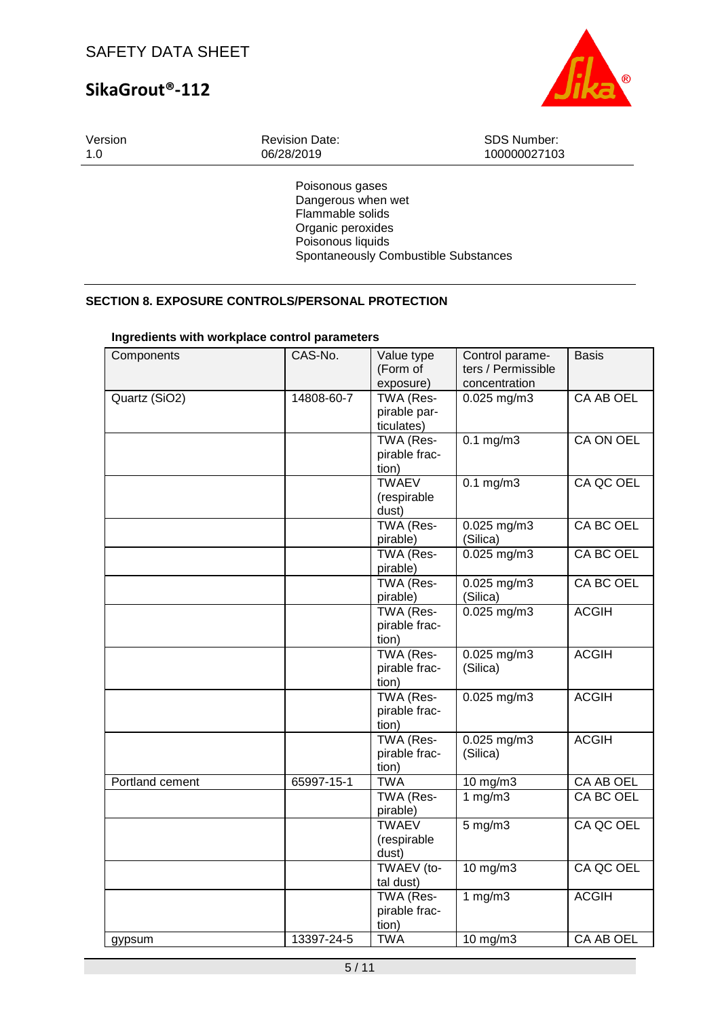

Version 1.0

Revision Date: 06/28/2019

SDS Number: 100000027103

Poisonous gases Dangerous when wet Flammable solids Organic peroxides Poisonous liquids Spontaneously Combustible Substances

# **SECTION 8. EXPOSURE CONTROLS/PERSONAL PROTECTION**

| <u>IIIYI GUIGHTS WITH WULNDIAGO CUITHUI DALAMETGI S</u> |            |                                     |                                                        |                  |
|---------------------------------------------------------|------------|-------------------------------------|--------------------------------------------------------|------------------|
| Components                                              | CAS-No.    | Value type<br>(Form of<br>exposure) | Control parame-<br>ters / Permissible<br>concentration | <b>Basis</b>     |
| Quartz (SiO2)                                           | 14808-60-7 | TWA (Res-                           | $0.025$ mg/m3                                          | CA AB OEL        |
|                                                         |            | pirable par-                        |                                                        |                  |
|                                                         |            | ticulates)                          |                                                        |                  |
|                                                         |            | TWA (Res-                           | $0.1 \text{ mg/m}$                                     | CA ON OEL        |
|                                                         |            | pirable frac-                       |                                                        |                  |
|                                                         |            | tion)                               |                                                        |                  |
|                                                         |            | <b>TWAEV</b>                        | $0.1 \text{ mg/m}$                                     | CA QC OEL        |
|                                                         |            | (respirable                         |                                                        |                  |
|                                                         |            | dust)                               |                                                        |                  |
|                                                         |            | TWA (Res-                           | $0.025$ mg/m3                                          | CA BC OEL        |
|                                                         |            | pirable)                            | (Silica)                                               |                  |
|                                                         |            | TWA (Res-                           | $0.025$ mg/m3                                          | CA BC OEL        |
|                                                         |            | pirable)                            |                                                        |                  |
|                                                         |            | TWA (Res-                           | $0.025$ mg/m3                                          | CA BC OEL        |
|                                                         |            | pirable)                            | (Silica)                                               |                  |
|                                                         |            | TWA (Res-                           | $0.025$ mg/m3                                          | <b>ACGIH</b>     |
|                                                         |            | pirable frac-                       |                                                        |                  |
|                                                         |            | tion)                               |                                                        |                  |
|                                                         |            | TWA (Res-                           | $0.025$ mg/m3                                          | <b>ACGIH</b>     |
|                                                         |            | pirable frac-                       | (Silica)                                               |                  |
|                                                         |            | tion)                               |                                                        |                  |
|                                                         |            | TWA (Res-                           | $0.025$ mg/m3                                          | <b>ACGIH</b>     |
|                                                         |            | pirable frac-                       |                                                        |                  |
|                                                         |            | tion)                               |                                                        |                  |
|                                                         |            | TWA (Res-                           | $0.025$ mg/m3                                          | <b>ACGIH</b>     |
|                                                         |            | pirable frac-                       | (Silica)                                               |                  |
|                                                         |            | tion)                               |                                                        |                  |
| Portland cement                                         | 65997-15-1 | <b>TWA</b>                          | 10 mg/m3                                               | CA AB OEL        |
|                                                         |            | TWA (Res-                           | 1 $mg/m3$                                              | <b>CA BC OEL</b> |
|                                                         |            | pirable)                            |                                                        |                  |
|                                                         |            | <b>TWAEV</b>                        | $5$ mg/m $3$                                           | CA QC OEL        |
|                                                         |            | (respirable                         |                                                        |                  |
|                                                         |            | dust)                               |                                                        |                  |
|                                                         |            | TWAEV (to-                          | 10 mg/m3                                               | CA QC OEL        |
|                                                         |            | tal dust)                           |                                                        |                  |
|                                                         |            | TWA (Res-                           | 1 $mg/m3$                                              | <b>ACGIH</b>     |
|                                                         |            | pirable frac-                       |                                                        |                  |
|                                                         |            | tion)                               |                                                        |                  |
| gypsum                                                  | 13397-24-5 | <b>TWA</b>                          | $10$ mg/m $3$                                          | CA AB OEL        |

# **Ingredients with workplace control parameters**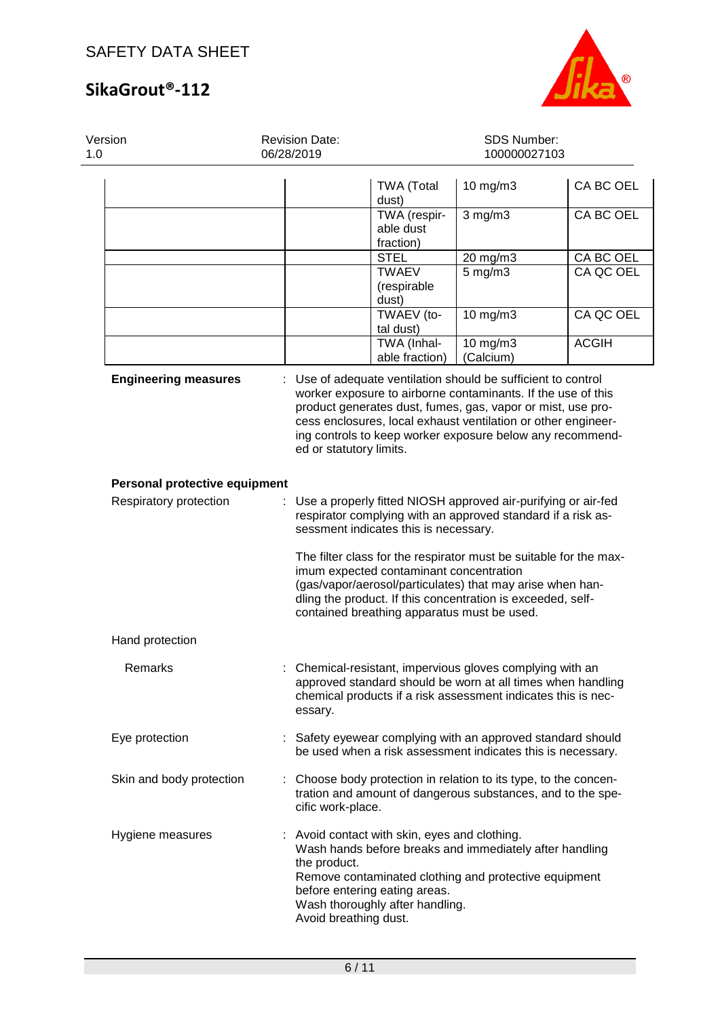

| Version<br>1.0                | <b>Revision Date:</b><br>06/28/2019 | SDS Number:<br>100000027103           |                                                                                                                                                                                                                                                                                                                          |                       |              |
|-------------------------------|-------------------------------------|---------------------------------------|--------------------------------------------------------------------------------------------------------------------------------------------------------------------------------------------------------------------------------------------------------------------------------------------------------------------------|-----------------------|--------------|
|                               |                                     |                                       | <b>TWA (Total</b><br>dust)                                                                                                                                                                                                                                                                                               | 10 mg/m3              | CA BC OEL    |
|                               |                                     |                                       | TWA (respir-<br>able dust<br>fraction)                                                                                                                                                                                                                                                                                   | $3$ mg/m $3$          | CA BC OEL    |
|                               |                                     |                                       | <b>STEL</b>                                                                                                                                                                                                                                                                                                              | 20 mg/m3              | CA BC OEL    |
|                               |                                     |                                       | <b>TWAEV</b><br>(respirable<br>dust)                                                                                                                                                                                                                                                                                     | $5$ mg/m $3$          | CA QC OEL    |
|                               |                                     |                                       | TWAEV (to-<br>tal dust)                                                                                                                                                                                                                                                                                                  | 10 mg/m3              | CA QC OEL    |
|                               |                                     |                                       | TWA (Inhal-<br>able fraction)                                                                                                                                                                                                                                                                                            | 10 mg/m3<br>(Calcium) | <b>ACGIH</b> |
| <b>Engineering measures</b>   |                                     | ed or statutory limits.               | Use of adequate ventilation should be sufficient to control<br>worker exposure to airborne contaminants. If the use of this<br>product generates dust, fumes, gas, vapor or mist, use pro-<br>cess enclosures, local exhaust ventilation or other engineer-<br>ing controls to keep worker exposure below any recommend- |                       |              |
| Personal protective equipment |                                     |                                       |                                                                                                                                                                                                                                                                                                                          |                       |              |
| Respiratory protection        |                                     |                                       | Use a properly fitted NIOSH approved air-purifying or air-fed<br>respirator complying with an approved standard if a risk as-<br>sessment indicates this is necessary.                                                                                                                                                   |                       |              |
|                               |                                     |                                       | The filter class for the respirator must be suitable for the max-<br>imum expected contaminant concentration<br>(gas/vapor/aerosol/particulates) that may arise when han-<br>dling the product. If this concentration is exceeded, self-<br>contained breathing apparatus must be used.                                  |                       |              |
| Hand protection               |                                     |                                       |                                                                                                                                                                                                                                                                                                                          |                       |              |
| Remarks                       |                                     | essary.                               | Chemical-resistant, impervious gloves complying with an<br>approved standard should be worn at all times when handling<br>chemical products if a risk assessment indicates this is nec-                                                                                                                                  |                       |              |
| Eye protection                |                                     |                                       | : Safety eyewear complying with an approved standard should<br>be used when a risk assessment indicates this is necessary.                                                                                                                                                                                               |                       |              |
| Skin and body protection      |                                     | cific work-place.                     | Choose body protection in relation to its type, to the concen-<br>tration and amount of dangerous substances, and to the spe-                                                                                                                                                                                            |                       |              |
| Hygiene measures              |                                     | the product.<br>Avoid breathing dust. | : Avoid contact with skin, eyes and clothing.<br>Wash hands before breaks and immediately after handling<br>Remove contaminated clothing and protective equipment<br>before entering eating areas.<br>Wash thoroughly after handling.                                                                                    |                       |              |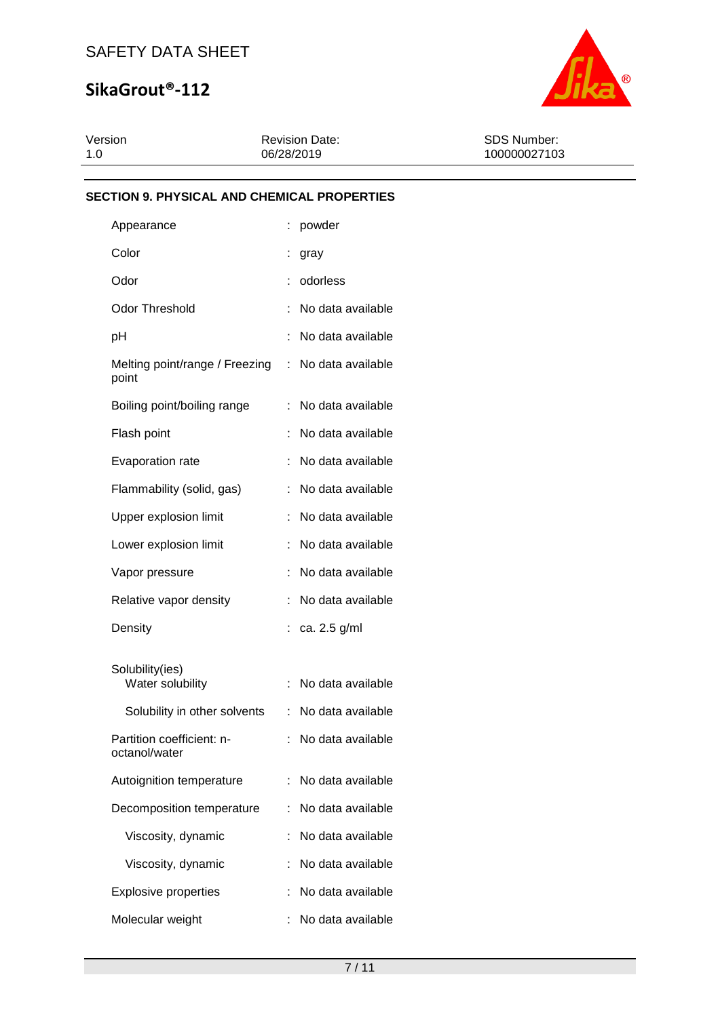

| Version | <b>Revision Date:</b> | <b>SDS Number:</b> |
|---------|-----------------------|--------------------|
| 1.0     | 06/28/2019            | 100000027103       |

## **SECTION 9. PHYSICAL AND CHEMICAL PROPERTIES**

| Appearance                                                  |    | powder              |
|-------------------------------------------------------------|----|---------------------|
| Color                                                       |    | gray                |
| Odor                                                        |    | odorless            |
| <b>Odor Threshold</b>                                       | ÷  | No data available   |
| pH                                                          |    | No data available   |
| Melting point/range / Freezing : No data available<br>point |    |                     |
| Boiling point/boiling range                                 |    | No data available   |
| Flash point                                                 | t. | No data available   |
| Evaporation rate                                            |    | No data available   |
| Flammability (solid, gas)                                   |    | No data available   |
| Upper explosion limit                                       | ÷  | No data available   |
| Lower explosion limit                                       |    | No data available   |
| Vapor pressure                                              |    | No data available   |
| Relative vapor density                                      | ÷  | No data available   |
| Density                                                     |    | ca. 2.5 g/ml        |
| Solubility(ies)<br>Water solubility                         | t. | No data available   |
| Solubility in other solvents                                |    | : No data available |
| Partition coefficient: n-<br>octanol/water                  |    | No data available   |
| Autoignition temperature                                    | ÷. | No data available   |
| Decomposition temperature                                   | t. | No data available   |
| Viscosity, dynamic                                          |    | No data available   |
| Viscosity, dynamic                                          | ÷  | No data available   |
| <b>Explosive properties</b>                                 |    | No data available   |
| Molecular weight                                            |    | No data available   |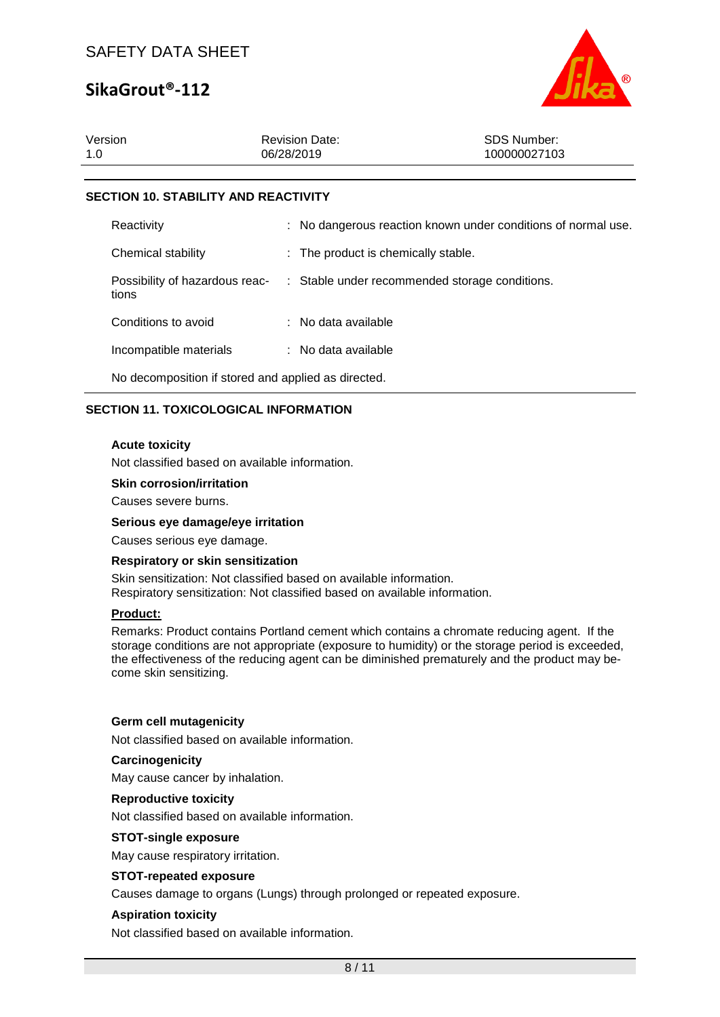

| Version<br>1.0                              | <b>Revision Date:</b><br>06/28/2019 | <b>SDS Number:</b><br>100000027103                            |
|---------------------------------------------|-------------------------------------|---------------------------------------------------------------|
| <b>SECTION 10. STABILITY AND REACTIVITY</b> |                                     |                                                               |
| Reactivity                                  |                                     | : No dangerous reaction known under conditions of normal use. |
| Chemical stability                          | : The product is chemically stable. |                                                               |
| Possibility of hazardous reac-<br>tions     |                                     | : Stable under recommended storage conditions.                |
| Conditions to avoid                         | ∴ No data available.                |                                                               |

Incompatible materials : No data available

No decomposition if stored and applied as directed.

### **SECTION 11. TOXICOLOGICAL INFORMATION**

#### **Acute toxicity**

Not classified based on available information.

**Skin corrosion/irritation**

Causes severe burns.

#### **Serious eye damage/eye irritation**

Causes serious eye damage.

#### **Respiratory or skin sensitization**

Skin sensitization: Not classified based on available information. Respiratory sensitization: Not classified based on available information.

#### **Product:**

Remarks: Product contains Portland cement which contains a chromate reducing agent. If the storage conditions are not appropriate (exposure to humidity) or the storage period is exceeded, the effectiveness of the reducing agent can be diminished prematurely and the product may become skin sensitizing.

#### **Germ cell mutagenicity**

Not classified based on available information.

#### **Carcinogenicity**

May cause cancer by inhalation.

### **Reproductive toxicity**

Not classified based on available information.

#### **STOT-single exposure**

May cause respiratory irritation.

#### **STOT-repeated exposure**

Causes damage to organs (Lungs) through prolonged or repeated exposure.

#### **Aspiration toxicity**

Not classified based on available information.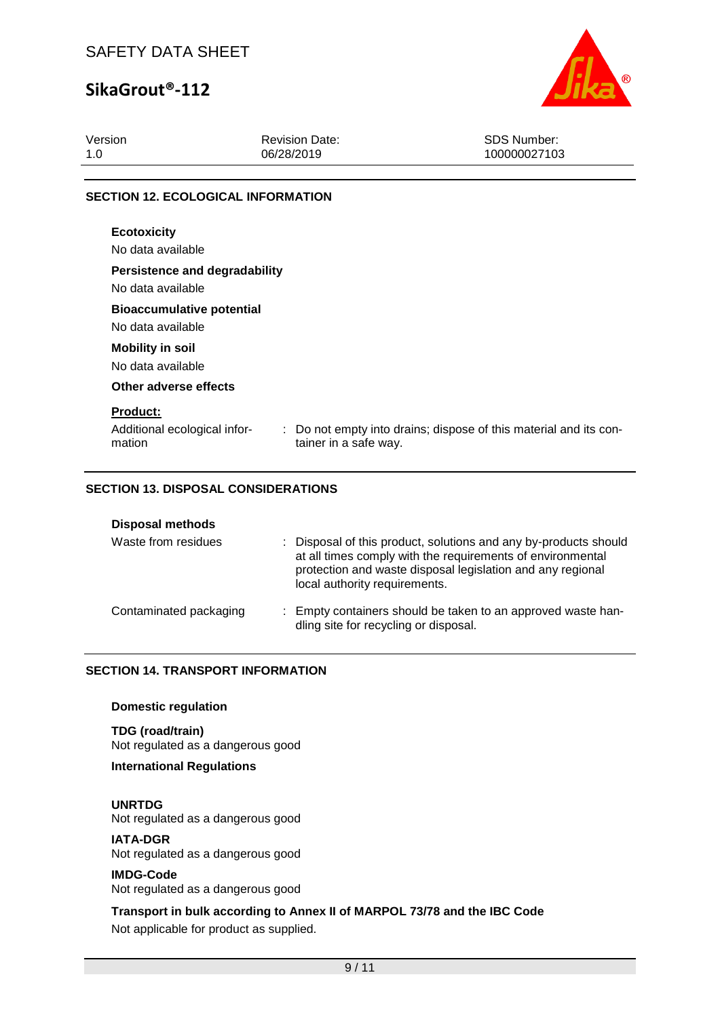

| Version                                | <b>Revision Date:</b>                     | <b>SDS Number:</b>                                                |
|----------------------------------------|-------------------------------------------|-------------------------------------------------------------------|
| 1.0                                    | 06/28/2019                                | 100000027103                                                      |
|                                        |                                           |                                                                   |
|                                        | <b>SECTION 12. ECOLOGICAL INFORMATION</b> |                                                                   |
|                                        |                                           |                                                                   |
| <b>Ecotoxicity</b>                     |                                           |                                                                   |
| No data available                      |                                           |                                                                   |
|                                        | <b>Persistence and degradability</b>      |                                                                   |
| No data available                      |                                           |                                                                   |
| <b>Bioaccumulative potential</b>       |                                           |                                                                   |
| No data available                      |                                           |                                                                   |
| <b>Mobility in soil</b>                |                                           |                                                                   |
| No data available                      |                                           |                                                                   |
| Other adverse effects                  |                                           |                                                                   |
| <b>Product:</b>                        |                                           |                                                                   |
| Additional ecological infor-<br>mation | tainer in a safe way.                     | : Do not empty into drains; dispose of this material and its con- |

## **SECTION 13. DISPOSAL CONSIDERATIONS**

| <b>Disposal methods</b> |                                                                                                                                                                                                                               |
|-------------------------|-------------------------------------------------------------------------------------------------------------------------------------------------------------------------------------------------------------------------------|
| Waste from residues     | : Disposal of this product, solutions and any by-products should<br>at all times comply with the requirements of environmental<br>protection and waste disposal legislation and any regional<br>local authority requirements. |
| Contaminated packaging  | : Empty containers should be taken to an approved waste han-<br>dling site for recycling or disposal.                                                                                                                         |

# **SECTION 14. TRANSPORT INFORMATION**

## **Domestic regulation**

**TDG (road/train)** Not regulated as a dangerous good

# **International Regulations**

**UNRTDG**

Not regulated as a dangerous good

**IATA-DGR** Not regulated as a dangerous good

**IMDG-Code** Not regulated as a dangerous good

**Transport in bulk according to Annex II of MARPOL 73/78 and the IBC Code** Not applicable for product as supplied.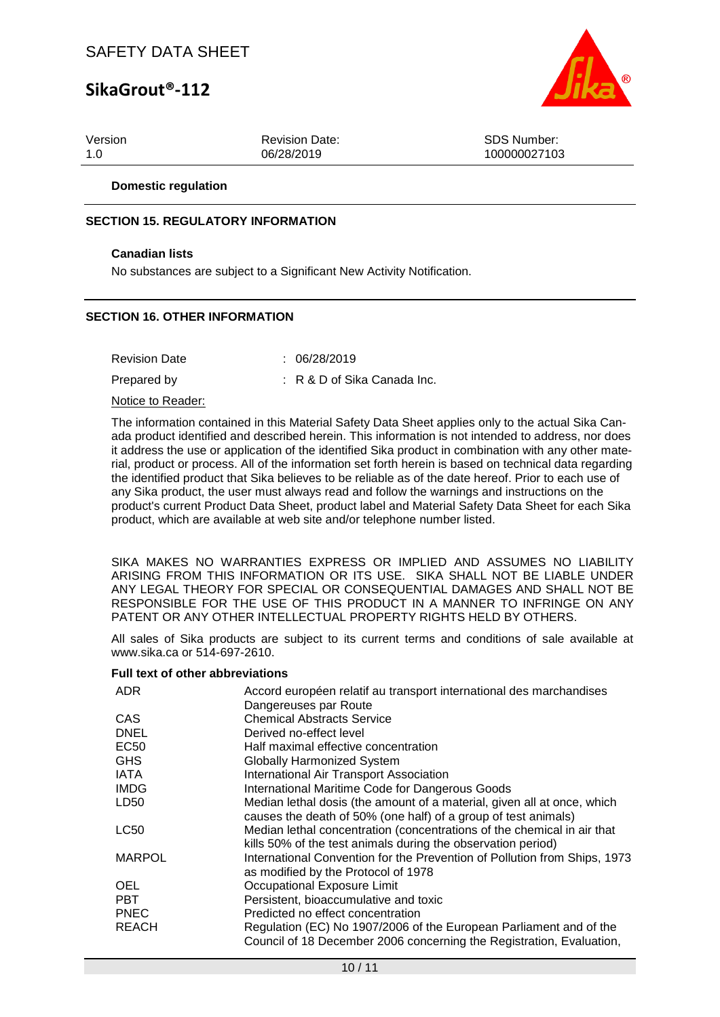

Version 1.0

Revision Date: 06/28/2019

SDS Number: 100000027103

#### **Domestic regulation**

#### **SECTION 15. REGULATORY INFORMATION**

#### **Canadian lists**

No substances are subject to a Significant New Activity Notification.

#### **SECTION 16. OTHER INFORMATION**

| <b>Revision Date</b> | : 06/28/2019                   |
|----------------------|--------------------------------|
| Prepared by          | $: R \& D$ of Sika Canada Inc. |

#### Notice to Reader:

The information contained in this Material Safety Data Sheet applies only to the actual Sika Canada product identified and described herein. This information is not intended to address, nor does it address the use or application of the identified Sika product in combination with any other material, product or process. All of the information set forth herein is based on technical data regarding the identified product that Sika believes to be reliable as of the date hereof. Prior to each use of any Sika product, the user must always read and follow the warnings and instructions on the product's current Product Data Sheet, product label and Material Safety Data Sheet for each Sika product, which are available at web site and/or telephone number listed.

SIKA MAKES NO WARRANTIES EXPRESS OR IMPLIED AND ASSUMES NO LIABILITY ARISING FROM THIS INFORMATION OR ITS USE. SIKA SHALL NOT BE LIABLE UNDER ANY LEGAL THEORY FOR SPECIAL OR CONSEQUENTIAL DAMAGES AND SHALL NOT BE RESPONSIBLE FOR THE USE OF THIS PRODUCT IN A MANNER TO INFRINGE ON ANY PATENT OR ANY OTHER INTELLECTUAL PROPERTY RIGHTS HELD BY OTHERS.

All sales of Sika products are subject to its current terms and conditions of sale available at www.sika.ca or 514-697-2610.

#### **Full text of other abbreviations**

| <b>ADR</b>    | Accord européen relatif au transport international des marchandises       |
|---------------|---------------------------------------------------------------------------|
|               | Dangereuses par Route                                                     |
| CAS           | <b>Chemical Abstracts Service</b>                                         |
| <b>DNEL</b>   | Derived no-effect level                                                   |
| EC50          | Half maximal effective concentration                                      |
| <b>GHS</b>    | <b>Globally Harmonized System</b>                                         |
| <b>IATA</b>   | International Air Transport Association                                   |
| <b>IMDG</b>   | International Maritime Code for Dangerous Goods                           |
| LD50          | Median lethal dosis (the amount of a material, given all at once, which   |
|               | causes the death of 50% (one half) of a group of test animals)            |
| LC50          | Median lethal concentration (concentrations of the chemical in air that   |
|               | kills 50% of the test animals during the observation period)              |
| <b>MARPOL</b> | International Convention for the Prevention of Pollution from Ships, 1973 |
|               | as modified by the Protocol of 1978                                       |
| <b>OEL</b>    | Occupational Exposure Limit                                               |
| <b>PBT</b>    | Persistent, bioaccumulative and toxic                                     |
| <b>PNEC</b>   | Predicted no effect concentration                                         |
| <b>REACH</b>  | Regulation (EC) No 1907/2006 of the European Parliament and of the        |
|               | Council of 18 December 2006 concerning the Registration, Evaluation,      |